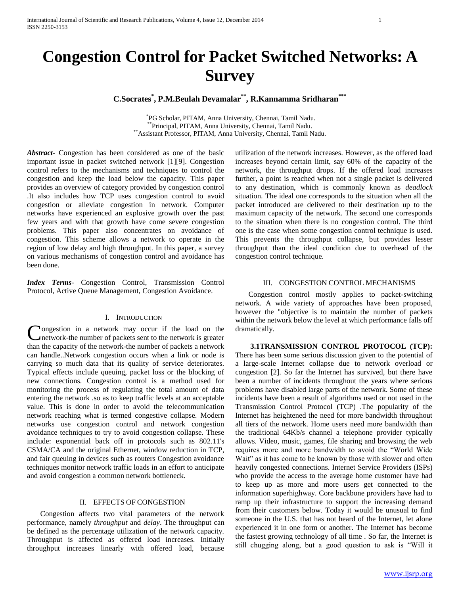# **Congestion Control for Packet Switched Networks: A Survey**

**C.Socrates\* , P.M.Beulah Devamalar\*\*, R.Kannamma Sridharan\*\*\***

 \* PG Scholar, PITAM, Anna University, Chennai, Tamil Nadu. \*\*Principal, PITAM, Anna University, Chennai, Tamil Nadu. \*\*Assistant Professor, PITAM, Anna University, Chennai, Tamil Nadu.

*Abstract***-** Congestion has been considered as one of the basic important issue in packet switched network [1][9]. Congestion control refers to the mechanisms and techniques to control the congestion and keep the load below the capacity. This paper provides an overview of category provided by congestion control .It also includes how TCP uses congestion control to avoid congestion or alleviate congestion in network. Computer networks have experienced an explosive growth over the past few years and with that growth have come severe congestion problems. This paper also concentrates on avoidance of congestion. This scheme allows a network to operate in the region of low delay and high throughput. In this paper, a survey on various mechanisms of congestion control and avoidance has been done.

*Index Terms*- Congestion Control, Transmission Control Protocol, Active Queue Management, Congestion Avoidance.

## I. INTRODUCTION

**Nongestion** in a network may occur if the load on the network-the number of packets sent to the network is greater Congestion in a network may occur if the load on the network-the number of packets sent to the network is greater than the capacity of the network-the number of packets a network can handle..Network congestion occurs when a link or node is carrying so much data that its quality of service deteriorates. Typical effects include queuing, packet loss or the blocking of new connections. Congestion control is a method used for monitoring the process of regulating the total amount of data entering the network .so as to keep traffic levels at an acceptable value. This is done in order to avoid the telecommunication network reaching what is termed congestive collapse. Modern networks use congestion control and network congestion avoidance techniques to try to avoid congestion collapse. These include: exponential back off in protocols such as 802.11's CSMA/CA and the original Ethernet, window reduction in TCP, and fair queuing in devices such as routers Congestion avoidance techniques monitor network traffic loads in an effort to anticipate and avoid congestion a common network bottleneck.

#### II. EFFECTS OF CONGESTION

 Congestion affects two vital parameters of the network performance, namely *throughput* and *delay*. The throughput can be defined as the percentage utilization of the network capacity. Throughput is affected as offered load increases. Initially throughput increases linearly with offered load, because

utilization of the network increases. However, as the offered load increases beyond certain limit, say 60% of the capacity of the network, the throughput drops. If the offered load increases further, a point is reached when not a single packet is delivered to any destination, which is commonly known as *deadlock*  situation. The ideal one corresponds to the situation when all the packet introduced are delivered to their destination up to the maximum capacity of the network. The second one corresponds to the situation when there is no congestion control. The third one is the case when some congestion control technique is used. This prevents the throughput collapse, but provides lesser throughput than the ideal condition due to overhead of the congestion control technique.

## III. CONGESTION CONTROL MECHANISMS

 Congestion control mostly applies to packet-switching network. A wide variety of approaches have been proposed, however the "objective is to maintain the number of packets within the network below the level at which performance falls off dramatically.

 **3.1TRANSMISSION CONTROL PROTOCOL (TCP):**  There has been some serious discussion given to the potential of a large-scale Internet collapse due to network overload or congestion [2]. So far the Internet has survived, but there have been a number of incidents throughout the years where serious problems have disabled large parts of the network. Some of these incidents have been a result of algorithms used or not used in the Transmission Control Protocol (TCP) .The popularity of the Internet has heightened the need for more bandwidth throughout all tiers of the network. Home users need more bandwidth than the traditional 64Kb/s channel a telephone provider typically allows. Video, music, games, file sharing and browsing the web requires more and more bandwidth to avoid the "World Wide Wait" as it has come to be known by those with slower and often heavily congested connections. Internet Service Providers (ISPs) who provide the access to the average home customer have had to keep up as more and more users get connected to the information superhighway. Core backbone providers have had to ramp up their infrastructure to support the increasing demand from their customers below. Today it would be unusual to find someone in the U.S. that has not heard of the Internet, let alone experienced it in one form or another. The Internet has become the fastest growing technology of all time . So far, the Internet is still chugging along, but a good question to ask is "Will it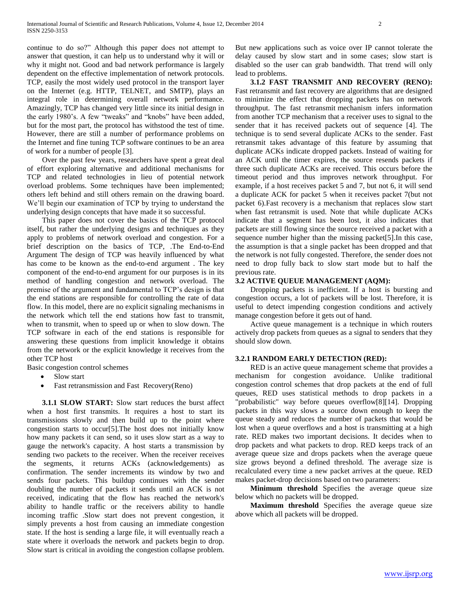continue to do so?" Although this paper does not attempt to answer that question, it can help us to understand why it will or why it might not. Good and bad network performance is largely dependent on the effective implementation of network protocols. TCP, easily the most widely used protocol in the transport layer on the Internet (e.g. HTTP, TELNET, and SMTP), plays an integral role in determining overall network performance. Amazingly, TCP has changed very little since its initial design in the early 1980's. A few "tweaks" and "knobs" have been added, but for the most part, the protocol has withstood the test of time. However, there are still a number of performance problems on the Internet and fine tuning TCP software continues to be an area of work for a number of people [3].

Over the past few years, researchers have spent a great deal of effort exploring alternative and additional mechanisms for TCP and related technologies in lieu of potential network overload problems. Some techniques have been implemented; others left behind and still others remain on the drawing board. We'll begin our examination of TCP by trying to understand the underlying design concepts that have made it so successful.

This paper does not cover the basics of the TCP protocol itself, but rather the underlying designs and techniques as they apply to problems of network overload and congestion. For a brief description on the basics of TCP, .The End-to-End Argument The design of TCP was heavily influenced by what has come to be known as the end-to-end argument . The key component of the end-to-end argument for our purposes is in its method of handling congestion and network overload. The premise of the argument and fundamental to TCP's design is that the end stations are responsible for controlling the rate of data flow. In this model, there are no explicit signaling mechanisms in the network which tell the end stations how fast to transmit, when to transmit, when to speed up or when to slow down. The TCP software in each of the end stations is responsible for answering these questions from implicit knowledge it obtains from the network or the explicit knowledge it receives from the other TCP host

Basic congestion control schemes

- Slow start
- Fast retransmission and Fast Recovery(Reno)

 **3.1.1 SLOW START:** Slow start reduces the burst affect when a host first transmits. It requires a host to start its transmissions slowly and then build up to the point where congestion starts to occur[5].The host does not initially know how many packets it can send, so it uses slow start as a way to gauge the network's capacity. A host starts a transmission by sending two packets to the receiver. When the receiver receives the segments, it returns ACKs (acknowledgements) as confirmation. The sender increments its window by two and sends four packets. This buildup continues with the sender doubling the number of packets it sends until an ACK is not received, indicating that the flow has reached the network's ability to handle traffic or the receivers ability to handle incoming traffic .Slow start does not prevent congestion, it simply prevents a host from causing an immediate congestion state. If the host is sending a large file, it will eventually reach a state where it overloads the network and packets begin to drop. Slow start is critical in avoiding the congestion collapse problem.

But new applications such as voice over IP cannot tolerate the delay caused by slow start and in some cases; slow start is disabled so the user can grab bandwidth. That trend will only lead to problems.

 **3.1.2 FAST TRANSMIT AND RECOVERY (RENO):**  Fast retransmit and fast recovery are algorithms that are designed to minimize the effect that dropping packets has on network throughput. The fast retransmit mechanism infers information from another TCP mechanism that a receiver uses to signal to the sender that it has received packets out of sequence [4]. The technique is to send several duplicate ACKs to the sender. Fast retransmit takes advantage of this feature by assuming that duplicate ACKs indicate dropped packets. Instead of waiting for an ACK until the timer expires, the source resends packets if three such duplicate ACKs are received. This occurs before the timeout period and thus improves network throughput. For example, if a host receives packet 5 and 7, but not 6, it will send a duplicate ACK for packet 5 when it receives packet 7(but not packet 6).Fast recovery is a mechanism that replaces slow start when fast retransmit is used. Note that while duplicate ACKs indicate that a segment has been lost, it also indicates that packets are still flowing since the source received a packet with a sequence number higher than the missing packet[5].In this case, the assumption is that a single packet has been dropped and that the network is not fully congested. Therefore, the sender does not need to drop fully back to slow start mode but to half the previous rate.

#### **3.2 ACTIVE QUEUE MANAGEMENT (AQM):**

Dropping packets is inefficient. If a host is bursting and congestion occurs, a lot of packets will be lost. Therefore, it is useful to detect impending congestion conditions and actively manage congestion before it gets out of hand.

Active queue management is a technique in which routers actively drop packets from queues as a signal to senders that they should slow down.

#### **3.2.1 RANDOM EARLY DETECTION (RED):**

RED is an active queue management scheme that provides a mechanism for congestion avoidance. Unlike traditional congestion control schemes that drop packets at the end of full queues, RED uses statistical methods to drop packets in a "probabilistic" way before queues overflow[8][14]. Dropping packets in this way slows a source down enough to keep the queue steady and reduces the number of packets that would be lost when a queue overflows and a host is transmitting at a high rate. RED makes two important decisions. It decides when to drop packets and what packets to drop. RED keeps track of an average queue size and drops packets when the average queue size grows beyond a defined threshold. The average size is recalculated every time a new packet arrives at the queue. RED makes packet-drop decisions based on two parameters:

 **Minimum threshold** Specifies the average queue size below which no packets will be dropped.

**Maximum threshold** Specifies the average queue size above which all packets will be dropped.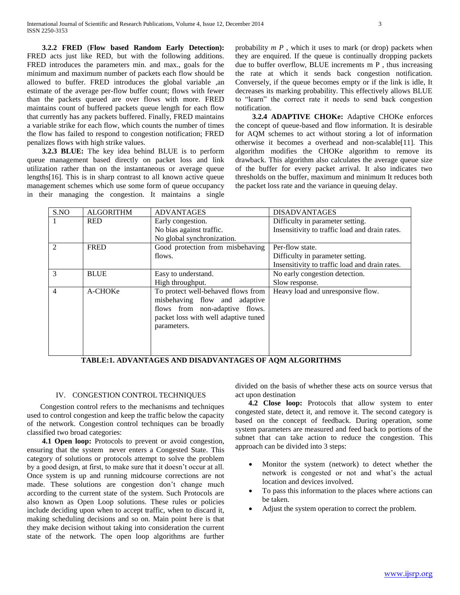**3.2.2 FRED** (**Flow based Random Early Detection):** FRED acts just like RED, but with the following additions. FRED introduces the parameters min. and max., goals for the minimum and maximum number of packets each flow should be allowed to buffer. FRED introduces the global variable ,an estimate of the average per-flow buffer count; flows with fewer than the packets queued are over flows with more. FRED maintains count of buffered packets queue length for each flow that currently has any packets buffered. Finally, FRED maintains a variable strike for each flow, which counts the number of times the flow has failed to respond to congestion notification; FRED penalizes flows with high strike values.

 **3.2.3 BLUE:** The key idea behind BLUE is to perform queue management based directly on packet loss and link utilization rather than on the instantaneous or average queue lengths[16]. This is in sharp contrast to all known active queue management schemes which use some form of queue occupancy in their managing the congestion. It maintains a single probability *m P* , which it uses to mark (or drop) packets when they are enquired. If the queue is continually dropping packets due to buffer overflow, BLUE increments m P , thus increasing the rate at which it sends back congestion notification. Conversely, if the queue becomes empty or if the link is idle, It decreases its marking probability. This effectively allows BLUE to "learn" the correct rate it needs to send back congestion notification.

 **3.2.4 ADAPTIVE CHOKe:** Adaptive CHOKe enforces the concept of queue-based and flow information. It is desirable for AQM schemes to act without storing a lot of information otherwise it becomes a overhead and non-scalable[11]. This algorithm modifies the CHOKe algorithm to remove its drawback. This algorithm also calculates the average queue size of the buffer for every packet arrival. It also indicates two thresholds on the buffer, maximum and minimum It reduces both the packet loss rate and the variance in queuing delay.

| S.NO           | <b>ALGORITHM</b> | <b>ADVANTAGES</b>                                                                                                                                            | <b>DISADVANTAGES</b>                           |
|----------------|------------------|--------------------------------------------------------------------------------------------------------------------------------------------------------------|------------------------------------------------|
|                | <b>RED</b>       | Early congestion.                                                                                                                                            | Difficulty in parameter setting.               |
|                |                  | No bias against traffic.                                                                                                                                     | Insensitivity to traffic load and drain rates. |
|                |                  | No global synchronization.                                                                                                                                   |                                                |
| $\mathfrak{D}$ | <b>FRED</b>      | Good protection from misbehaving                                                                                                                             | Per-flow state.                                |
|                |                  | flows.                                                                                                                                                       | Difficulty in parameter setting.               |
|                |                  |                                                                                                                                                              | Insensitivity to traffic load and drain rates. |
| 3              | <b>BLUE</b>      | Easy to understand.                                                                                                                                          | No early congestion detection.                 |
|                |                  | High throughput.                                                                                                                                             | Slow response.                                 |
| $\overline{4}$ | A-CHOKe          | To protect well-behaved flows from<br>misbehaving flow and adaptive<br>flows from non-adaptive flows.<br>packet loss with well adaptive tuned<br>parameters. | Heavy load and unresponsive flow.              |

**TABLE:1. ADVANTAGES AND DISADVANTAGES OF AQM ALGORITHMS**

## IV. CONGESTION CONTROL TECHNIQUES

 Congestion control refers to the mechanisms and techniques used to control congestion and keep the traffic below the capacity of the network. Congestion control techniques can be broadly classified two broad categories:

 **4.1 Open loop:** Protocols to prevent or avoid congestion, ensuring that the system never enters a Congested State. This category of solutions or protocols attempt to solve the problem by a good design, at first, to make sure that it doesn't occur at all. Once system is up and running midcourse corrections are not made. These solutions are congestion don't change much according to the current state of the system. Such Protocols are also known as Open Loop solutions. These rules or policies include deciding upon when to accept traffic, when to discard it, making scheduling decisions and so on. Main point here is that they make decision without taking into consideration the current state of the network. The open loop algorithms are further divided on the basis of whether these acts on source versus that act upon destination

 **4.2 Close loop:** Protocols that allow system to enter congested state, detect it, and remove it. The second category is based on the concept of feedback. During operation, some system parameters are measured and feed back to portions of the subnet that can take action to reduce the congestion. This approach can be divided into 3 steps:

- Monitor the system (network) to detect whether the network is congested or not and what's the actual location and devices involved.
- To pass this information to the places where actions can be taken.
- Adjust the system operation to correct the problem.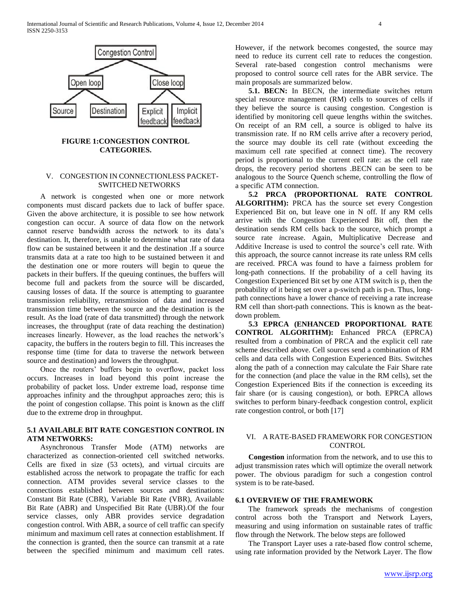

## **FIGURE 1:CONGESTION CONTROL CATEGORIES.**

## V. CONGESTION IN CONNECTIONLESS PACKET-SWITCHED NETWORKS

 A network is congested when one or more network components must discard packets due to lack of buffer space. Given the above architecture, it is possible to see how network congestion can occur. A source of data flow on the network cannot reserve bandwidth across the network to its data's destination. It, therefore, is unable to determine what rate of data flow can be sustained between it and the destination .If a source transmits data at a rate too high to be sustained between it and the destination one or more routers will begin to queue the packets in their buffers. If the queuing continues, the buffers will become full and packets from the source will be discarded, causing losses of data. If the source is attempting to guarantee transmission reliability, retransmission of data and increased transmission time between the source and the destination is the result. As the load (rate of data transmitted) through the network increases, the throughput (rate of data reaching the destination) increases linearly. However, as the load reaches the network's capacity, the buffers in the routers begin to fill. This increases the response time (time for data to traverse the network between source and destination) and lowers the throughput.

 Once the routers' buffers begin to overflow, packet loss occurs. Increases in load beyond this point increase the probability of packet loss. Under extreme load, response time approaches infinity and the throughput approaches zero; this is the point of congestion collapse. This point is known as the cliff due to the extreme drop in throughput.

## **5.1 AVAILABLE BIT RATE CONGESTION CONTROL IN ATM NETWORKS:**

 Asynchronous Transfer Mode (ATM) networks are characterized as connection-oriented cell switched networks. Cells are fixed in size (53 octets), and virtual circuits are established across the network to propagate the traffic for each connection. ATM provides several service classes to the connections established between sources and destinations: Constant Bit Rate (CBR), Variable Bit Rate (VBR), Available Bit Rate (ABR) and Unspecified Bit Rate (UBR).Of the four service classes, only ABR provides service degradation congestion control. With ABR, a source of cell traffic can specify minimum and maximum cell rates at connection establishment. If the connection is granted, then the source can transmit at a rate between the specified minimum and maximum cell rates. However, if the network becomes congested, the source may need to reduce its current cell rate to reduces the congestion. Several rate-based congestion control mechanisms were proposed to control source cell rates for the ABR service. The main proposals are summarized below.

 **5.1. BECN:** In BECN, the intermediate switches return special resource management (RM) cells to sources of cells if they believe the source is causing congestion. Congestion is identified by monitoring cell queue lengths within the switches. On receipt of an RM cell, a source is obliged to halve its transmission rate. If no RM cells arrive after a recovery period, the source may double its cell rate (without exceeding the maximum cell rate specified at connect time). The recovery period is proportional to the current cell rate: as the cell rate drops, the recovery period shortens .BECN can be seen to be analogous to the Source Quench scheme, controlling the flow of a specific ATM connection.

 **5.2 PRCA (PROPORTIONAL RATE CONTROL ALGORITHM):** PRCA has the source set every Congestion Experienced Bit on, but leave one in N off. If any RM cells arrive with the Congestion Experienced Bit off, then the destination sends RM cells back to the source, which prompt a source rate *i*ncrease. Again, Multiplicative Decrease and Additive Increase is used to control the source's cell rate. With this approach, the source cannot increase its rate unless RM cells are received. PRCA was found to have a fairness problem for long-path connections. If the probability of a cell having its Congestion Experienced Bit set by one ATM switch is p, then the probability of it being set over a p-switch path is p-n. Thus, longpath connections have a lower chance of receiving a rate increase RM cell than short-path connections. This is known as the beatdown problem.

 **5.3 EPRCA (ENHANCED PROPORTIONAL RATE CONTROL ALGORITHM):** Enhanced PRCA (EPRCA) resulted from a combination of PRCA and the explicit cell rate scheme described above. Cell sources send a combination of RM cells and data cells with Congestion Experienced Bits. Switches along the path of a connection may calculate the Fair Share rate for the connection (and place the value in the RM cells), set the Congestion Experienced Bits if the connection is exceeding its fair share (or is causing congestion), or both. EPRCA allows switches to perform binary-feedback congestion control, explicit rate congestion control, or both [17]

## VI. A RATE-BASED FRAMEWORK FOR CONGESTION **CONTROL**

 **Congestion** information from the network, and to use this to adjust transmission rates which will optimize the overall network power. The obvious paradigm for such a congestion control system is to be rate-based.

## **6.1 OVERVIEW OF THE FRAMEWORK**

 The framework spreads the mechanisms of congestion control across both the Transport and Network Layers, measuring and using information on sustainable rates of traffic flow through the Network. The below steps are followed

 The Transport Layer uses a rate-based flow control scheme, using rate information provided by the Network Layer. The flow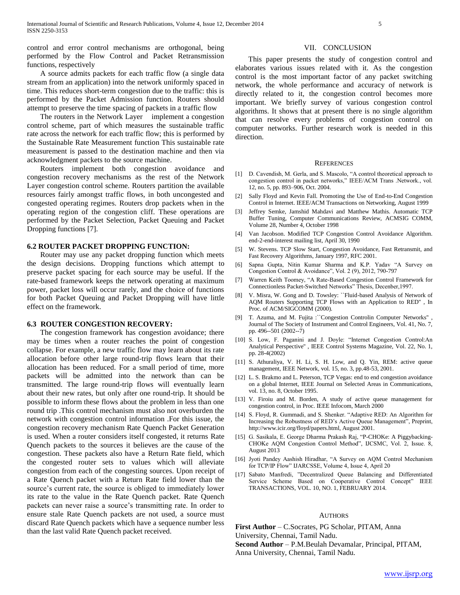control and error control mechanisms are orthogonal, being performed by the Flow Control and Packet Retransmission functions, respectively

 A source admits packets for each traffic flow (a single data stream from an application) into the network uniformly spaced in time. This reduces short-term congestion due to the traffic: this is performed by the Packet Admission function. Routers should attempt to preserve the time spacing of packets in a traffic flow

 The routers in the Network Layer implement a congestion control scheme, part of which measures the sustainable traffic rate across the network for each traffic flow; this is performed by the Sustainable Rate Measurement function This sustainable rate measurement is passed to the destination machine and then via acknowledgment packets to the source machine.

 Routers implement both congestion avoidance and congestion recovery mechanisms as the rest of the Network Layer congestion control scheme. Routers partition the available resources fairly amongst traffic flows, in both uncongested and congested operating regimes. Routers drop packets when in the operating region of the congestion cliff. These operations are performed by the Packet Selection, Packet Queuing and Packet Dropping functions [7].

#### **6.2 ROUTER PACKET DROPPING FUNCTION:**

 Router may use any packet dropping function which meets the design decisions. Dropping functions which attempt to preserve packet spacing for each source may be useful. If the rate-based framework keeps the network operating at maximum power, packet loss will occur rarely, and the choice of functions for both Packet Queuing and Packet Dropping will have little effect on the framework.

#### **6.3 ROUTER CONGESTION RECOVERY:**

 The congestion framework has congestion avoidance; there may be times when a router reaches the point of congestion collapse. For example, a new traffic flow may learn about its rate allocation before other large round-trip flows learn that their allocation has been reduced. For a small period of time, more packets will be admitted into the network than can be transmitted. The large round-trip flows will eventually learn about their new rates, but only after one round-trip. It should be possible to inform these flows about the problem in less than one round trip .This control mechanism must also not overburden the network with congestion control information .For this issue, the congestion recovery mechanism Rate Quench Packet Generation is used. When a router considers itself congested, it returns Rate Quench packets to the sources it believes are the cause of the congestion. These packets also have a Return Rate field, which the congested router sets to values which will alleviate congestion from each of the congesting sources. Upon receipt of a Rate Quench packet with a Return Rate field lower than the source's current rate, the source is obliged to immediately lower its rate to the value in the Rate Quench packet. Rate Quench packets can never raise a source's transmitting rate. In order to ensure stale Rate Quench packets are not used, a source must discard Rate Quench packets which have a sequence number less than the last valid Rate Quench packet received.

#### VII. CONCLUSION

 This paper presents the study of congestion control and elaborates various issues related with it. As the congestion control is the most important factor of any packet switching network, the whole performance and accuracy of network is directly related to it, the congestion control becomes more important. We briefly survey of various congestion control algorithms. It shows that at present there is no single algorithm that can resolve every problems of congestion control on computer networks. Further research work is needed in this direction.

#### **REFERENCES**

- [1] D. Cavendish, M. Gerla, and S. Mascolo, "A control theoretical approach to congestion control in packet networks," IEEE/ACM Trans .Network., vol. 12, no. 5, pp. 893–906, Oct. 2004.
- [2] Sally Floyd and Kevin Fall. Promoting the Use of End-to-End Congestion Control in Internet. IEEE/ACM Transactions on Networking, August 1999
- [3] Jeffrey Semke, Jamshid Mahdavi and Matthew Mathis. Automatic TCP Buffer Tuning, Computer Communications Review, ACMSIG COMM, Volume 28, Number 4, October 1998
- [4] Van Jacobson. Modified TCP Congestion Control Avoidance Algorithm. end-2-end-interest mailing list, April 30, 1990
- [5] W. Stevens. TCP Slow Start, Congestion Avoidance, Fast Retransmit, and Fast Recovery Algorithms, January 1997, RFC 2001.
- [6] Sapna Gupta, Nitin Kumar Sharma and K.P. Yadav "A Survey on Congestion Control & Avoidance", Vol. 2 (9), 2012, 790-797
- [7] Warren Keith Toomey, "A Rate-Based Congestion Control Framework for Connectionless Packet-Switched Networks" Thesis, Decenber,1997.
- [8] V. Misra, W. Gong and D. Towsley: ``Fluid-based Analysis of Network of AQM Routers Supporting TCP Flows with an Application to RED'' , In Proc. of ACM/SIGCOMM (2000).
- [9] T. Azuma, and M. Fujita : ``Congestion Controlin Computer Networks'' Journal of The Society of Instrument and Control Engineers, Vol. 41, No. 7, pp. 496--501 (2002--7)
- [10] S. Low, F. Paganini and J. Doyle: "Internet Congestion Control: An Analytical Perspective'' , IEEE Control Systems Magazine, Vol. 22, No. 1, pp. 28-4(2002)
- [11] S. Athuraliya, V. H. Li, S. H. Low, and Q. Yin, REM: active queue management, IEEE Network, vol. 15, no. 3, pp.48-53, 2001.
- [12] L. S. Brakmo and L. Peterson, TCP Vegas: end to end congestion avoidance on a global Internet, IEEE Journal on Selected Areas in Communications, vol. 13, no. 8, October 1995.
- [13] V. Firoiu and M. Borden, A study of active queue management for congestion control, in Proc. IEEE Infocom, March 2000
- [14] S. Floyd, R. Gummadi, and S. Shenker. "Adaptive RED: An Algorithm for Increasing the Robustness of RED's Active Queue Management", Preprint, http://www.icir.org/floyd/papers.html, August 2001.
- [15] G. Sasikala, E. George Dharma Prakash Raj, "P-CHOKe: A Piggybacking-CHOKe AQM Congestion Control Method", IJCSMC, Vol. 2, Issue. 8, August 2013
- [16] Jyoti Pandey Aashish Hiradhar, "A Survey on AQM Control Mechanism for TCP/IP Flow" IJARCSSE, Volume 4, Issue 4, April 20
- [17] Sabato Manfredi, "Decentralized Queue Balancing and Differentiated Service Scheme Based on Cooperative Control Concept" IEEE TRANSACTIONS, VOL. 10, NO. 1, FEBRUARY 2014.

#### **AUTHORS**

**First Author** – C.Socrates, PG Scholar, PITAM, Anna University, Chennai, Tamil Nadu. **Second Author** – P.M.Beulah Devamalar, Principal, PITAM, Anna University, Chennai, Tamil Nadu.